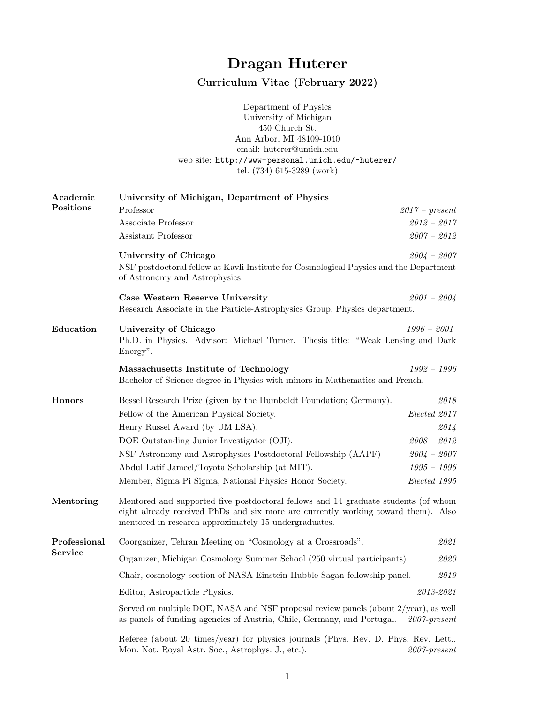## Dragan Huterer

## Curriculum Vitae (February 2022)

Department of Physics University of Michigan 450 Church St. Ann Arbor, MI 48109-1040 email: huterer@umich.edu web site: http://www-personal.umich.edu/~huterer/ tel. (734) 615-3289 (work)

| Academic      | University of Michigan, Department of Physics                                                                                                                                                                                      |                                                                                                         |  |  |  |  |
|---------------|------------------------------------------------------------------------------------------------------------------------------------------------------------------------------------------------------------------------------------|---------------------------------------------------------------------------------------------------------|--|--|--|--|
| Positions     | Professor                                                                                                                                                                                                                          | $2017$ – present                                                                                        |  |  |  |  |
|               | Associate Professor                                                                                                                                                                                                                | $2012 - 2017$                                                                                           |  |  |  |  |
|               | Assistant Professor                                                                                                                                                                                                                | $2007 - 2012$                                                                                           |  |  |  |  |
|               | University of Chicago<br>of Astronomy and Astrophysics.                                                                                                                                                                            | $2004 - 2007$<br>NSF postdoctoral fellow at Kavli Institute for Cosmological Physics and the Department |  |  |  |  |
|               | Case Western Reserve University<br>Research Associate in the Particle-Astrophysics Group, Physics department.                                                                                                                      | $2001 - 2004$                                                                                           |  |  |  |  |
| Education     | University of Chicago                                                                                                                                                                                                              | $1996 - 2001$                                                                                           |  |  |  |  |
|               | Ph.D. in Physics. Advisor: Michael Turner. Thesis title: "Weak Lensing and Dark<br>Energy".                                                                                                                                        |                                                                                                         |  |  |  |  |
|               | Massachusetts Institute of Technology                                                                                                                                                                                              | $1992 - 1996$                                                                                           |  |  |  |  |
|               | Bachelor of Science degree in Physics with minors in Mathematics and French.                                                                                                                                                       |                                                                                                         |  |  |  |  |
| <b>Honors</b> | Bessel Research Prize (given by the Humboldt Foundation; Germany).                                                                                                                                                                 | 2018                                                                                                    |  |  |  |  |
|               | Fellow of the American Physical Society.                                                                                                                                                                                           | Elected 2017                                                                                            |  |  |  |  |
|               | Henry Russel Award (by UM LSA).                                                                                                                                                                                                    | 2014                                                                                                    |  |  |  |  |
|               | DOE Outstanding Junior Investigator (OJI).                                                                                                                                                                                         | $2008 - 2012$                                                                                           |  |  |  |  |
|               | NSF Astronomy and Astrophysics Postdoctoral Fellowship (AAPF)                                                                                                                                                                      | $2004 - 2007$                                                                                           |  |  |  |  |
|               | Abdul Latif Jameel/Toyota Scholarship (at MIT).                                                                                                                                                                                    | $1995 - 1996$                                                                                           |  |  |  |  |
|               | Member, Sigma Pi Sigma, National Physics Honor Society.                                                                                                                                                                            | Elected 1995                                                                                            |  |  |  |  |
| Mentoring     | Mentored and supported five postdoctoral fellows and 14 graduate students (of whom<br>eight already received PhDs and six more are currently working toward them). Also<br>mentored in research approximately $15$ undergraduates. |                                                                                                         |  |  |  |  |
| Professional  | Coorganizer, Tehran Meeting on "Cosmology at a Crossroads".                                                                                                                                                                        | 2021                                                                                                    |  |  |  |  |
| Service       | Organizer, Michigan Cosmology Summer School (250 virtual participants).<br>2020                                                                                                                                                    |                                                                                                         |  |  |  |  |
|               | Chair, cosmology section of NASA Einstein-Hubble-Sagan fellowship panel.                                                                                                                                                           | 2019                                                                                                    |  |  |  |  |
|               | Editor, Astroparticle Physics.                                                                                                                                                                                                     | 2013-2021                                                                                               |  |  |  |  |
|               | Served on multiple DOE, NASA and NSF proposal review panels (about 2/year), as well<br>as panels of funding agencies of Austria, Chile, Germany, and Portugal.<br>$2007$ -present                                                  |                                                                                                         |  |  |  |  |
|               | Referee (about 20 times/year) for physics journals (Phys. Rev. D, Phys. Rev. Lett.,<br>Mon. Not. Royal Astr. Soc., Astrophys. J., etc.).                                                                                           | $2007$ -present                                                                                         |  |  |  |  |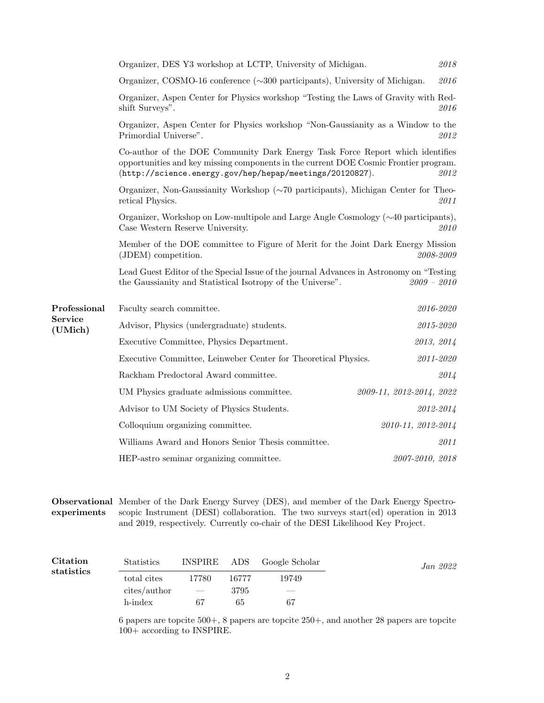|                           | Organizer, DES Y3 workshop at LCTP, University of Michigan.                                                                                                                                                                               |                          | 2018 |  |  |
|---------------------------|-------------------------------------------------------------------------------------------------------------------------------------------------------------------------------------------------------------------------------------------|--------------------------|------|--|--|
|                           | Organizer, COSMO-16 conference $(\sim 300$ participants), University of Michigan.<br>2016                                                                                                                                                 |                          |      |  |  |
|                           | Organizer, Aspen Center for Physics workshop "Testing the Laws of Gravity with Red-<br>shift Surveys".                                                                                                                                    |                          | 2016 |  |  |
|                           | Organizer, Aspen Center for Physics workshop "Non-Gaussianity as a Window to the<br>Primordial Universe".                                                                                                                                 |                          | 2012 |  |  |
|                           | Co-author of the DOE Community Dark Energy Task Force Report which identifies<br>opportunities and key missing components in the current DOE Cosmic Frontier program.<br>(http://science.energy.gov/hep/hepap/meetings/20120827).<br>2012 |                          |      |  |  |
|                           | Organizer, Non-Gaussianity Workshop $(\sim 70$ participants), Michigan Center for Theo-<br>retical Physics.                                                                                                                               |                          | 2011 |  |  |
|                           | Organizer, Workshop on Low-multipole and Large Angle Cosmology $(\sim 40$ participants),<br>Case Western Reserve University.<br>2010                                                                                                      |                          |      |  |  |
|                           | Member of the DOE committee to Figure of Merit for the Joint Dark Energy Mission<br>2008-2009<br>(JDEM) competition.                                                                                                                      |                          |      |  |  |
|                           | Lead Guest Editor of the Special Issue of the journal Advances in Astronomy on "Testing"<br>the Gaussianity and Statistical Isotropy of the Universe".                                                                                    | $2009 - 2010$            |      |  |  |
| Professional              | Faculty search committee.                                                                                                                                                                                                                 | 2016-2020                |      |  |  |
| <b>Service</b><br>(UMich) | Advisor, Physics (undergraduate) students.                                                                                                                                                                                                | $2015 - 2020$            |      |  |  |
|                           | Executive Committee, Physics Department.                                                                                                                                                                                                  | 2013, 2014               |      |  |  |
|                           | Executive Committee, Leinweber Center for Theoretical Physics.                                                                                                                                                                            | 2011-2020                |      |  |  |
|                           | Rackham Predoctoral Award committee.                                                                                                                                                                                                      |                          | 2014 |  |  |
|                           | UM Physics graduate admissions committee.                                                                                                                                                                                                 | 2009-11, 2012-2014, 2022 |      |  |  |
|                           | Advisor to UM Society of Physics Students.                                                                                                                                                                                                | 2012-2014                |      |  |  |
|                           | Colloquium organizing committee.                                                                                                                                                                                                          | 2010-11, 2012-2014       |      |  |  |
|                           | Williams Award and Honors Senior Thesis committee.                                                                                                                                                                                        |                          | 2011 |  |  |
|                           | HEP-astro seminar organizing committee.                                                                                                                                                                                                   | 2007-2010, 2018          |      |  |  |
|                           |                                                                                                                                                                                                                                           |                          |      |  |  |

Observational Member of the Dark Energy Survey (DES), and member of the Dark Energy Spectroexperiments scopic Instrument (DESI) collaboration. The two surveys start(ed) operation in 2013 and 2019, respectively. Currently co-chair of the DESI Likelihood Key Project.

| <b>Citation</b><br>statistics | <b>Statistics</b> |                          |       | INSPIRE ADS Google Scholar | Jan 2022 |
|-------------------------------|-------------------|--------------------------|-------|----------------------------|----------|
|                               | total cites       | 17780                    | 16777 | 19749                      |          |
|                               | cites/author      | $\overline{\phantom{a}}$ | 3795  | $\frac{1}{2}$              |          |
|                               | h-index           | 67                       | 65    | 67                         |          |

6 papers are topcite 500+, 8 papers are topcite 250+, and another 28 papers are topcite 100+ according to INSPIRE.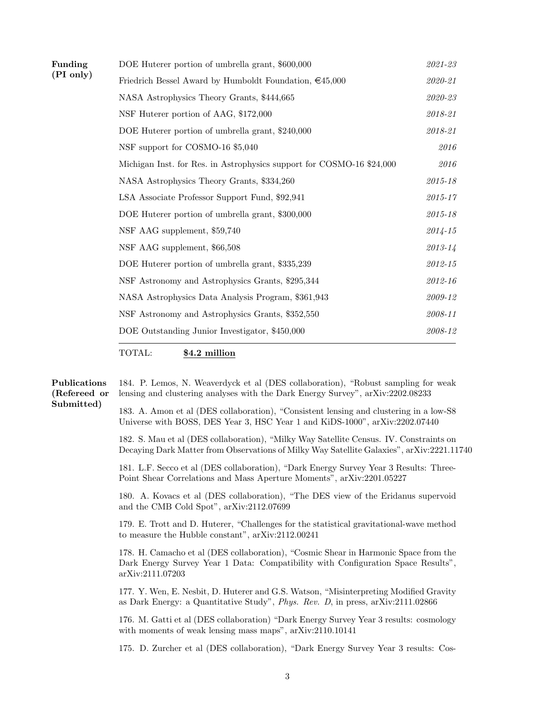| Funding   | DOE Huterer portion of umbrella grant, \$600,000                      | 2021-23     |
|-----------|-----------------------------------------------------------------------|-------------|
| (PI only) | Friedrich Bessel Award by Humboldt Foundation, $\epsilon$ 45,000      | $2020 - 21$ |
|           | NASA Astrophysics Theory Grants, \$444,665                            | $2020 - 23$ |
|           | NSF Huterer portion of AAG, \$172,000                                 | 2018-21     |
|           | DOE Huterer portion of umbrella grant, \$240,000                      | $2018 - 21$ |
|           | NSF support for COSMO-16 \$5,040                                      | 2016        |
|           | Michigan Inst. for Res. in Astrophysics support for COSMO-16 \$24,000 | 2016        |
|           | NASA Astrophysics Theory Grants, \$334,260                            | 2015-18     |
|           | LSA Associate Professor Support Fund, \$92,941                        | 2015-17     |
|           | DOE Huterer portion of umbrella grant, \$300,000                      | $2015 - 18$ |
|           | NSF AAG supplement, \$59,740                                          | $2014 - 15$ |
|           | NSF AAG supplement, \$66,508                                          | $2013 - 14$ |
|           | DOE Huterer portion of umbrella grant, \$335,239                      | $2012 - 15$ |
|           | NSF Astronomy and Astrophysics Grants, \$295,344                      | 2012-16     |
|           | NASA Astrophysics Data Analysis Program, \$361,943                    | 2009-12     |
|           | NSF Astronomy and Astrophysics Grants, \$352,550                      | 2008-11     |
|           | DOE Outstanding Junior Investigator, \$450,000                        | 2008-12     |
|           |                                                                       |             |

TOTAL: \$4.2 million

## Publications 184. P. Lemos, N. Weaverdyck et al (DES collaboration), "Robust sampling for weak (Refereed or Submitted) lensing and clustering analyses with the Dark Energy Survey", arXiv:2202.08233 183. A. Amon et al (DES collaboration), "Consistent lensing and clustering in a low-S8 Universe with BOSS, DES Year 3, HSC Year 1 and KiDS-1000", arXiv:2202.07440

182. S. Mau et al (DES collaboration), "Milky Way Satellite Census. IV. Constraints on Decaying Dark Matter from Observations of Milky Way Satellite Galaxies", arXiv:2221.11740

181. L.F. Secco et al (DES collaboration), "Dark Energy Survey Year 3 Results: Three-Point Shear Correlations and Mass Aperture Moments", arXiv:2201.05227

180. A. Kovacs et al (DES collaboration), "The DES view of the Eridanus supervoid and the CMB Cold Spot", arXiv:2112.07699

179. E. Trott and D. Huterer, "Challenges for the statistical gravitational-wave method to measure the Hubble constant", arXiv:2112.00241

178. H. Camacho et al (DES collaboration), "Cosmic Shear in Harmonic Space from the Dark Energy Survey Year 1 Data: Compatibility with Configuration Space Results", arXiv:2111.07203

177. Y. Wen, E. Nesbit, D. Huterer and G.S. Watson, "Misinterpreting Modified Gravity as Dark Energy: a Quantitative Study", Phys. Rev. D, in press, arXiv:2111.02866

176. M. Gatti et al (DES collaboration) "Dark Energy Survey Year 3 results: cosmology with moments of weak lensing mass maps", arXiv:2110.10141

175. D. Zurcher et al (DES collaboration), "Dark Energy Survey Year 3 results: Cos-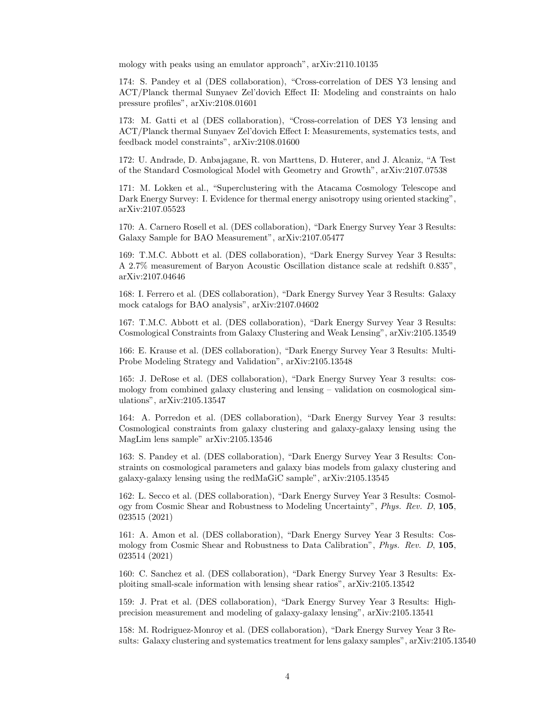mology with peaks using an emulator approach", arXiv:2110.10135

174: S. Pandey et al (DES collaboration), "Cross-correlation of DES Y3 lensing and ACT/Planck thermal Sunyaev Zel'dovich Effect II: Modeling and constraints on halo pressure profiles", arXiv:2108.01601

173: M. Gatti et al (DES collaboration), "Cross-correlation of DES Y3 lensing and ACT/Planck thermal Sunyaev Zel'dovich Effect I: Measurements, systematics tests, and feedback model constraints", arXiv:2108.01600

172: U. Andrade, D. Anbajagane, R. von Marttens, D. Huterer, and J. Alcaniz, "A Test of the Standard Cosmological Model with Geometry and Growth", arXiv:2107.07538

171: M. Lokken et al., "Superclustering with the Atacama Cosmology Telescope and Dark Energy Survey: I. Evidence for thermal energy anisotropy using oriented stacking", arXiv:2107.05523

170: A. Carnero Rosell et al. (DES collaboration), "Dark Energy Survey Year 3 Results: Galaxy Sample for BAO Measurement", arXiv:2107.05477

169: T.M.C. Abbott et al. (DES collaboration), "Dark Energy Survey Year 3 Results: A 2.7% measurement of Baryon Acoustic Oscillation distance scale at redshift 0.835", arXiv:2107.04646

168: I. Ferrero et al. (DES collaboration), "Dark Energy Survey Year 3 Results: Galaxy mock catalogs for BAO analysis", arXiv:2107.04602

167: T.M.C. Abbott et al. (DES collaboration), "Dark Energy Survey Year 3 Results: Cosmological Constraints from Galaxy Clustering and Weak Lensing", arXiv:2105.13549

166: E. Krause et al. (DES collaboration), "Dark Energy Survey Year 3 Results: Multi-Probe Modeling Strategy and Validation", arXiv:2105.13548

165: J. DeRose et al. (DES collaboration), "Dark Energy Survey Year 3 results: cosmology from combined galaxy clustering and lensing – validation on cosmological simulations", arXiv:2105.13547

164: A. Porredon et al. (DES collaboration), "Dark Energy Survey Year 3 results: Cosmological constraints from galaxy clustering and galaxy-galaxy lensing using the MagLim lens sample" arXiv:2105.13546

163: S. Pandey et al. (DES collaboration), "Dark Energy Survey Year 3 Results: Constraints on cosmological parameters and galaxy bias models from galaxy clustering and galaxy-galaxy lensing using the redMaGiC sample", arXiv:2105.13545

162: L. Secco et al. (DES collaboration), "Dark Energy Survey Year 3 Results: Cosmology from Cosmic Shear and Robustness to Modeling Uncertainty", Phys. Rev. D, 105, 023515 (2021)

161: A. Amon et al. (DES collaboration), "Dark Energy Survey Year 3 Results: Cosmology from Cosmic Shear and Robustness to Data Calibration", Phys. Rev. D, 105, 023514 (2021)

160: C. Sanchez et al. (DES collaboration), "Dark Energy Survey Year 3 Results: Exploiting small-scale information with lensing shear ratios", arXiv:2105.13542

159: J. Prat et al. (DES collaboration), "Dark Energy Survey Year 3 Results: Highprecision measurement and modeling of galaxy-galaxy lensing", arXiv:2105.13541

158: M. Rodriguez-Monroy et al. (DES collaboration), "Dark Energy Survey Year 3 Results: Galaxy clustering and systematics treatment for lens galaxy samples", arXiv:2105.13540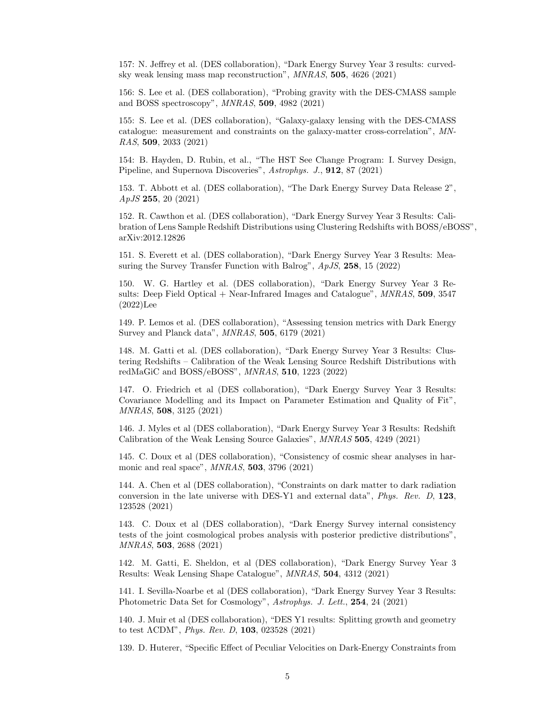157: N. Jeffrey et al. (DES collaboration), "Dark Energy Survey Year 3 results: curvedsky weak lensing mass map reconstruction", MNRAS, 505, 4626 (2021)

156: S. Lee et al. (DES collaboration), "Probing gravity with the DES-CMASS sample and BOSS spectroscopy", MNRAS, 509, 4982 (2021)

155: S. Lee et al. (DES collaboration), "Galaxy-galaxy lensing with the DES-CMASS catalogue: measurement and constraints on the galaxy-matter cross-correlation", MN-RAS, 509, 2033 (2021)

154: B. Hayden, D. Rubin, et al., "The HST See Change Program: I. Survey Design, Pipeline, and Supernova Discoveries", Astrophys. J., 912, 87 (2021)

153. T. Abbott et al. (DES collaboration), "The Dark Energy Survey Data Release 2", ApJS 255, 20 (2021)

152. R. Cawthon et al. (DES collaboration), "Dark Energy Survey Year 3 Results: Calibration of Lens Sample Redshift Distributions using Clustering Redshifts with BOSS/eBOSS", arXiv:2012.12826

151. S. Everett et al. (DES collaboration), "Dark Energy Survey Year 3 Results: Measuring the Survey Transfer Function with Balrog", ApJS, 258, 15 (2022)

150. W. G. Hartley et al. (DES collaboration), "Dark Energy Survey Year 3 Results: Deep Field Optical + Near-Infrared Images and Catalogue",  $MNRAS$ , 509, 3547 (2022)Lee

149. P. Lemos et al. (DES collaboration), "Assessing tension metrics with Dark Energy Survey and Planck data", MNRAS, 505, 6179 (2021)

148. M. Gatti et al. (DES collaboration), "Dark Energy Survey Year 3 Results: Clustering Redshifts – Calibration of the Weak Lensing Source Redshift Distributions with redMaGiC and BOSS/eBOSS", MNRAS, 510, 1223 (2022)

147. O. Friedrich et al (DES collaboration), "Dark Energy Survey Year 3 Results: Covariance Modelling and its Impact on Parameter Estimation and Quality of Fit", MNRAS, 508, 3125 (2021)

146. J. Myles et al (DES collaboration), "Dark Energy Survey Year 3 Results: Redshift Calibration of the Weak Lensing Source Galaxies", MNRAS 505, 4249 (2021)

145. C. Doux et al (DES collaboration), "Consistency of cosmic shear analyses in harmonic and real space", MNRAS, 503, 3796 (2021)

144. A. Chen et al (DES collaboration), "Constraints on dark matter to dark radiation conversion in the late universe with DES-Y1 and external data", Phys. Rev. D, 123, 123528 (2021)

143. C. Doux et al (DES collaboration), "Dark Energy Survey internal consistency tests of the joint cosmological probes analysis with posterior predictive distributions", MNRAS, 503, 2688 (2021)

142. M. Gatti, E. Sheldon, et al (DES collaboration), "Dark Energy Survey Year 3 Results: Weak Lensing Shape Catalogue", MNRAS, 504, 4312 (2021)

141. I. Sevilla-Noarbe et al (DES collaboration), "Dark Energy Survey Year 3 Results: Photometric Data Set for Cosmology", Astrophys. J. Lett., 254, 24 (2021)

140. J. Muir et al (DES collaboration), "DES Y1 results: Splitting growth and geometry to test ΛCDM", Phys. Rev. D, 103, 023528 (2021)

139. D. Huterer, "Specific Effect of Peculiar Velocities on Dark-Energy Constraints from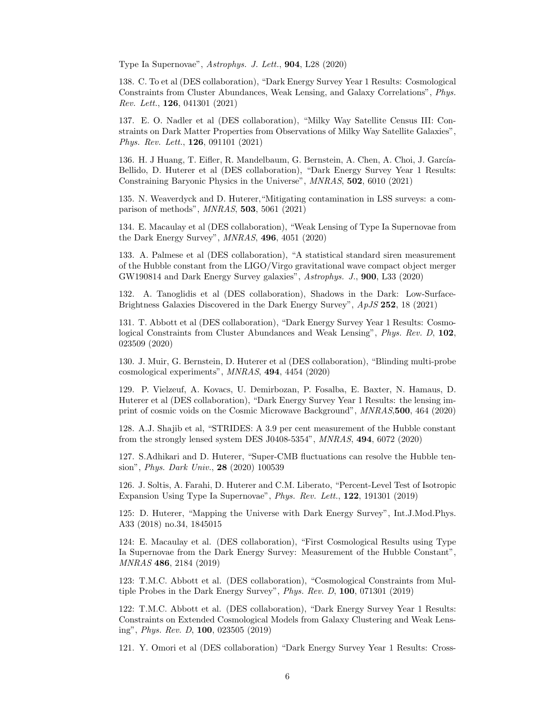Type Ia Supernovae", Astrophys. J. Lett., 904, L28 (2020)

138. C. To et al (DES collaboration), "Dark Energy Survey Year 1 Results: Cosmological Constraints from Cluster Abundances, Weak Lensing, and Galaxy Correlations", Phys. Rev. Lett., 126, 041301 (2021)

137. E. O. Nadler et al (DES collaboration), "Milky Way Satellite Census III: Constraints on Dark Matter Properties from Observations of Milky Way Satellite Galaxies", Phys. Rev. Lett., **126**, 091101 (2021)

136. H. J Huang, T. Eifler, R. Mandelbaum, G. Bernstein, A. Chen, A. Choi, J. García-Bellido, D. Huterer et al (DES collaboration), "Dark Energy Survey Year 1 Results: Constraining Baryonic Physics in the Universe", MNRAS, 502, 6010 (2021)

135. N. Weaverdyck and D. Huterer,"Mitigating contamination in LSS surveys: a comparison of methods", MNRAS, 503, 5061 (2021)

134. E. Macaulay et al (DES collaboration), "Weak Lensing of Type Ia Supernovae from the Dark Energy Survey", MNRAS, 496, 4051 (2020)

133. A. Palmese et al (DES collaboration), "A statistical standard siren measurement of the Hubble constant from the LIGO/Virgo gravitational wave compact object merger GW190814 and Dark Energy Survey galaxies", Astrophys. J., 900, L33 (2020)

132. A. Tanoglidis et al (DES collaboration), Shadows in the Dark: Low-Surface-Brightness Galaxies Discovered in the Dark Energy Survey", ApJS 252, 18 (2021)

131. T. Abbott et al (DES collaboration), "Dark Energy Survey Year 1 Results: Cosmological Constraints from Cluster Abundances and Weak Lensing", Phys. Rev. D, 102, 023509 (2020)

130. J. Muir, G. Bernstein, D. Huterer et al (DES collaboration), "Blinding multi-probe cosmological experiments", MNRAS, 494, 4454 (2020)

129. P. Vielzeuf, A. Kovacs, U. Demirbozan, P. Fosalba, E. Baxter, N. Hamaus, D. Huterer et al (DES collaboration), "Dark Energy Survey Year 1 Results: the lensing imprint of cosmic voids on the Cosmic Microwave Background", MNRAS,500, 464 (2020)

128. A.J. Shajib et al, "STRIDES: A 3.9 per cent measurement of the Hubble constant from the strongly lensed system DES J0408-5354", MNRAS, 494, 6072 (2020)

127. S.Adhikari and D. Huterer, "Super-CMB fluctuations can resolve the Hubble tension", Phys. Dark Univ., 28 (2020) 100539

126. J. Soltis, A. Farahi, D. Huterer and C.M. Liberato, "Percent-Level Test of Isotropic Expansion Using Type Ia Supernovae", Phys. Rev. Lett., 122, 191301 (2019)

125: D. Huterer, "Mapping the Universe with Dark Energy Survey", Int.J.Mod.Phys. A33 (2018) no.34, 1845015

124: E. Macaulay et al. (DES collaboration), "First Cosmological Results using Type Ia Supernovae from the Dark Energy Survey: Measurement of the Hubble Constant", MNRAS 486, 2184 (2019)

123: T.M.C. Abbott et al. (DES collaboration), "Cosmological Constraints from Multiple Probes in the Dark Energy Survey", Phys. Rev. D, 100, 071301 (2019)

122: T.M.C. Abbott et al. (DES collaboration), "Dark Energy Survey Year 1 Results: Constraints on Extended Cosmological Models from Galaxy Clustering and Weak Lensing", Phys. Rev. D, 100, 023505 (2019)

121. Y. Omori et al (DES collaboration) "Dark Energy Survey Year 1 Results: Cross-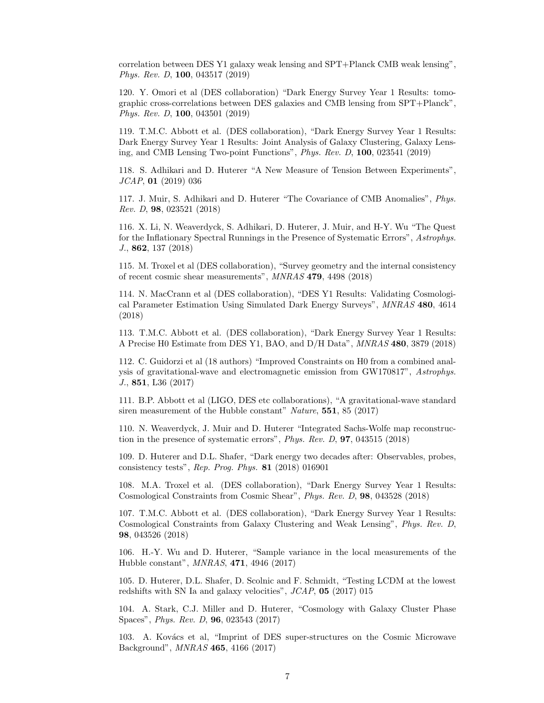correlation between DES Y1 galaxy weak lensing and SPT+Planck CMB weak lensing", Phys. Rev. D, 100, 043517 (2019)

120. Y. Omori et al (DES collaboration) "Dark Energy Survey Year 1 Results: tomographic cross-correlations between DES galaxies and CMB lensing from SPT+Planck", Phys. Rev. D, 100, 043501 (2019)

119. T.M.C. Abbott et al. (DES collaboration), "Dark Energy Survey Year 1 Results: Dark Energy Survey Year 1 Results: Joint Analysis of Galaxy Clustering, Galaxy Lensing, and CMB Lensing Two-point Functions", Phys. Rev. D, 100, 023541 (2019)

118. S. Adhikari and D. Huterer "A New Measure of Tension Between Experiments", JCAP, 01 (2019) 036

117. J. Muir, S. Adhikari and D. Huterer "The Covariance of CMB Anomalies", Phys. Rev. D, 98, 023521 (2018)

116. X. Li, N. Weaverdyck, S. Adhikari, D. Huterer, J. Muir, and H-Y. Wu "The Quest for the Inflationary Spectral Runnings in the Presence of Systematic Errors", Astrophys. J., 862, 137 (2018)

115. M. Troxel et al (DES collaboration), "Survey geometry and the internal consistency of recent cosmic shear measurements", MNRAS 479, 4498 (2018)

114. N. MacCrann et al (DES collaboration), "DES Y1 Results: Validating Cosmological Parameter Estimation Using Simulated Dark Energy Surveys", MNRAS 480, 4614 (2018)

113. T.M.C. Abbott et al. (DES collaboration), "Dark Energy Survey Year 1 Results: A Precise H0 Estimate from DES Y1, BAO, and D/H Data", MNRAS 480, 3879 (2018)

112. C. Guidorzi et al (18 authors) "Improved Constraints on H0 from a combined analysis of gravitational-wave and electromagnetic emission from GW170817", Astrophys. J., 851, L36 (2017)

111. B.P. Abbott et al (LIGO, DES etc collaborations), "A gravitational-wave standard siren measurement of the Hubble constant" Nature, 551, 85 (2017)

110. N. Weaverdyck, J. Muir and D. Huterer "Integrated Sachs-Wolfe map reconstruction in the presence of systematic errors", Phys. Rev. D, 97, 043515 (2018)

109. D. Huterer and D.L. Shafer, "Dark energy two decades after: Observables, probes, consistency tests", Rep. Prog. Phys. 81 (2018) 016901

108. M.A. Troxel et al. (DES collaboration), "Dark Energy Survey Year 1 Results: Cosmological Constraints from Cosmic Shear", Phys. Rev. D, 98, 043528 (2018)

107. T.M.C. Abbott et al. (DES collaboration), "Dark Energy Survey Year 1 Results: Cosmological Constraints from Galaxy Clustering and Weak Lensing", Phys. Rev. D, 98, 043526 (2018)

106. H.-Y. Wu and D. Huterer, "Sample variance in the local measurements of the Hubble constant", MNRAS, 471, 4946 (2017)

105. D. Huterer, D.L. Shafer, D. Scolnic and F. Schmidt, "Testing LCDM at the lowest redshifts with SN Ia and galaxy velocities", JCAP, 05 (2017) 015

104. A. Stark, C.J. Miller and D. Huterer, "Cosmology with Galaxy Cluster Phase Spaces", Phys. Rev. D, 96, 023543 (2017)

103. A. Kovács et al, "Imprint of DES super-structures on the Cosmic Microwave Background", MNRAS 465, 4166 (2017)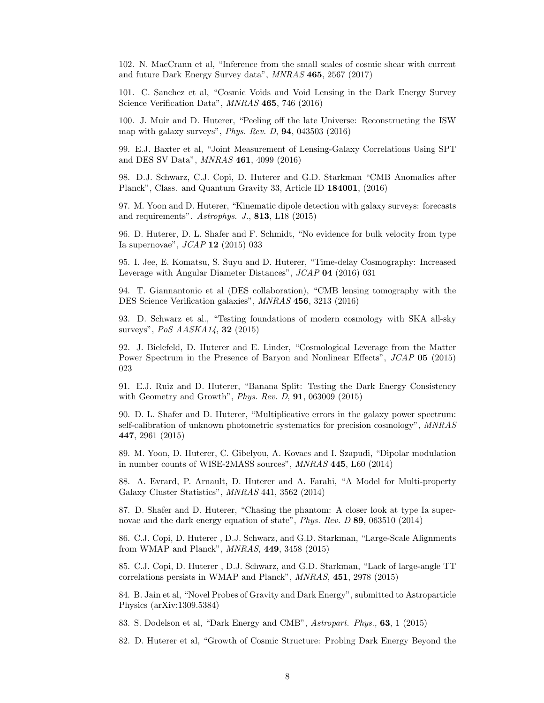102. N. MacCrann et al, "Inference from the small scales of cosmic shear with current and future Dark Energy Survey data", MNRAS 465, 2567 (2017)

101. C. Sanchez et al, "Cosmic Voids and Void Lensing in the Dark Energy Survey Science Verification Data", MNRAS 465, 746 (2016)

100. J. Muir and D. Huterer, "Peeling off the late Universe: Reconstructing the ISW map with galaxy surveys", Phys. Rev. D, 94, 043503 (2016)

99. E.J. Baxter et al, "Joint Measurement of Lensing-Galaxy Correlations Using SPT and DES SV Data", MNRAS 461, 4099 (2016)

98. D.J. Schwarz, C.J. Copi, D. Huterer and G.D. Starkman "CMB Anomalies after Planck", Class. and Quantum Gravity 33, Article ID 184001, (2016)

97. M. Yoon and D. Huterer, "Kinematic dipole detection with galaxy surveys: forecasts and requirements". Astrophys. J., 813, L18 (2015)

96. D. Huterer, D. L. Shafer and F. Schmidt, "No evidence for bulk velocity from type Ia supernovae", JCAP 12 (2015) 033

95. I. Jee, E. Komatsu, S. Suyu and D. Huterer, "Time-delay Cosmography: Increased Leverage with Angular Diameter Distances", JCAP 04 (2016) 031

94. T. Giannantonio et al (DES collaboration), "CMB lensing tomography with the DES Science Verification galaxies", MNRAS 456, 3213 (2016)

93. D. Schwarz et al., "Testing foundations of modern cosmology with SKA all-sky surveys", PoS AASKA14, 32 (2015)

92. J. Bielefeld, D. Huterer and E. Linder, "Cosmological Leverage from the Matter Power Spectrum in the Presence of Baryon and Nonlinear Effects", JCAP 05 (2015) 023

91. E.J. Ruiz and D. Huterer, "Banana Split: Testing the Dark Energy Consistency with Geometry and Growth", Phys. Rev. D, 91, 063009 (2015)

90. D. L. Shafer and D. Huterer, "Multiplicative errors in the galaxy power spectrum: self-calibration of unknown photometric systematics for precision cosmology", MNRAS 447, 2961 (2015)

89. M. Yoon, D. Huterer, C. Gibelyou, A. Kovacs and I. Szapudi, "Dipolar modulation in number counts of WISE-2MASS sources", MNRAS 445, L60 (2014)

88. A. Evrard, P. Arnault, D. Huterer and A. Farahi, "A Model for Multi-property Galaxy Cluster Statistics", MNRAS 441, 3562 (2014)

87. D. Shafer and D. Huterer, "Chasing the phantom: A closer look at type Ia supernovae and the dark energy equation of state", Phys. Rev. D 89, 063510 (2014)

86. C.J. Copi, D. Huterer , D.J. Schwarz, and G.D. Starkman, "Large-Scale Alignments from WMAP and Planck", MNRAS, 449, 3458 (2015)

85. C.J. Copi, D. Huterer , D.J. Schwarz, and G.D. Starkman, "Lack of large-angle TT correlations persists in WMAP and Planck", MNRAS, 451, 2978 (2015)

84. B. Jain et al, "Novel Probes of Gravity and Dark Energy", submitted to Astroparticle Physics (arXiv:1309.5384)

83. S. Dodelson et al, "Dark Energy and CMB", Astropart. Phys., 63, 1 (2015)

82. D. Huterer et al, "Growth of Cosmic Structure: Probing Dark Energy Beyond the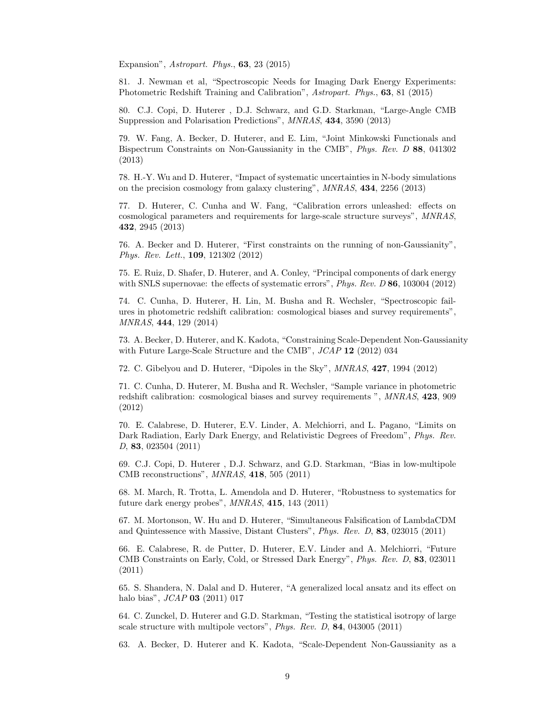Expansion", Astropart. Phys., 63, 23 (2015)

81. J. Newman et al, "Spectroscopic Needs for Imaging Dark Energy Experiments: Photometric Redshift Training and Calibration", Astropart. Phys., 63, 81 (2015)

80. C.J. Copi, D. Huterer , D.J. Schwarz, and G.D. Starkman, "Large-Angle CMB Suppression and Polarisation Predictions", MNRAS, 434, 3590 (2013)

79. W. Fang, A. Becker, D. Huterer, and E. Lim, "Joint Minkowski Functionals and Bispectrum Constraints on Non-Gaussianity in the CMB", Phys. Rev. D 88, 041302 (2013)

78. H.-Y. Wu and D. Huterer, "Impact of systematic uncertainties in N-body simulations on the precision cosmology from galaxy clustering", MNRAS, 434, 2256 (2013)

77. D. Huterer, C. Cunha and W. Fang, "Calibration errors unleashed: effects on cosmological parameters and requirements for large-scale structure surveys", MNRAS, 432, 2945 (2013)

76. A. Becker and D. Huterer, "First constraints on the running of non-Gaussianity", Phys. Rev. Lett., 109, 121302 (2012)

75. E. Ruiz, D. Shafer, D. Huterer, and A. Conley, "Principal components of dark energy with SNLS supernovae: the effects of systematic errors", *Phys. Rev. D* 86, 103004 (2012)

74. C. Cunha, D. Huterer, H. Lin, M. Busha and R. Wechsler, "Spectroscopic failures in photometric redshift calibration: cosmological biases and survey requirements", MNRAS, 444, 129 (2014)

73. A. Becker, D. Huterer, and K. Kadota, "Constraining Scale-Dependent Non-Gaussianity with Future Large-Scale Structure and the CMB", JCAP 12 (2012) 034

72. C. Gibelyou and D. Huterer, "Dipoles in the Sky", MNRAS, 427, 1994 (2012)

71. C. Cunha, D. Huterer, M. Busha and R. Wechsler, "Sample variance in photometric redshift calibration: cosmological biases and survey requirements ", MNRAS, 423, 909 (2012)

70. E. Calabrese, D. Huterer, E.V. Linder, A. Melchiorri, and L. Pagano, "Limits on Dark Radiation, Early Dark Energy, and Relativistic Degrees of Freedom", Phys. Rev. D, 83, 023504 (2011)

69. C.J. Copi, D. Huterer , D.J. Schwarz, and G.D. Starkman, "Bias in low-multipole CMB reconstructions", MNRAS, 418, 505 (2011)

68. M. March, R. Trotta, L. Amendola and D. Huterer, "Robustness to systematics for future dark energy probes", MNRAS, 415, 143 (2011)

67. M. Mortonson, W. Hu and D. Huterer, "Simultaneous Falsification of LambdaCDM and Quintessence with Massive, Distant Clusters", Phys. Rev. D, 83, 023015 (2011)

66. E. Calabrese, R. de Putter, D. Huterer, E.V. Linder and A. Melchiorri, "Future CMB Constraints on Early, Cold, or Stressed Dark Energy", Phys. Rev. D, 83, 023011 (2011)

65. S. Shandera, N. Dalal and D. Huterer, "A generalized local ansatz and its effect on halo bias", *JCAP* **03** (2011) 017

64. C. Zunckel, D. Huterer and G.D. Starkman, "Testing the statistical isotropy of large scale structure with multipole vectors", Phys. Rev. D, 84, 043005 (2011)

63. A. Becker, D. Huterer and K. Kadota, "Scale-Dependent Non-Gaussianity as a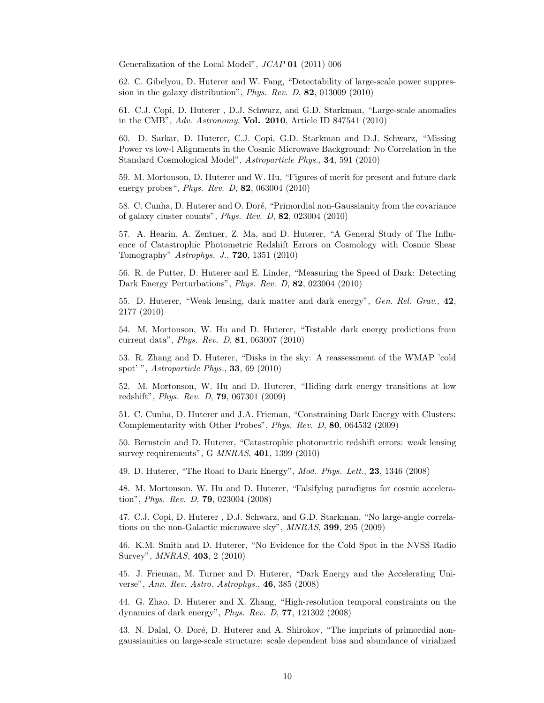Generalization of the Local Model", JCAP 01 (2011) 006

62. C. Gibelyou, D. Huterer and W. Fang, "Detectability of large-scale power suppression in the galaxy distribution", Phys. Rev. D, 82, 013009 (2010)

61. C.J. Copi, D. Huterer , D.J. Schwarz, and G.D. Starkman, "Large-scale anomalies in the CMB", Adv. Astronomy, Vol. 2010, Article ID 847541 (2010)

60. D. Sarkar, D. Huterer, C.J. Copi, G.D. Starkman and D.J. Schwarz, "Missing Power vs low-l Alignments in the Cosmic Microwave Background: No Correlation in the Standard Cosmological Model", Astroparticle Phys., 34, 591 (2010)

59. M. Mortonson, D. Huterer and W. Hu, "Figures of merit for present and future dark energy probes", Phys. Rev. D, 82, 063004 (2010)

58. C. Cunha, D. Huterer and O. Doré, "Primordial non-Gaussianity from the covariance of galaxy cluster counts", Phys. Rev. D, 82, 023004 (2010)

57. A. Hearin, A. Zentner, Z. Ma, and D. Huterer, "A General Study of The Influence of Catastrophic Photometric Redshift Errors on Cosmology with Cosmic Shear Tomography" Astrophys. J., 720, 1351 (2010)

56. R. de Putter, D. Huterer and E. Linder, "Measuring the Speed of Dark: Detecting Dark Energy Perturbations", Phys. Rev. D, 82, 023004 (2010)

55. D. Huterer, "Weak lensing, dark matter and dark energy", Gen. Rel. Grav., 42, 2177 (2010)

54. M. Mortonson, W. Hu and D. Huterer, "Testable dark energy predictions from current data", Phys. Rev. D, 81, 063007 (2010)

53. R. Zhang and D. Huterer, "Disks in the sky: A reassessment of the WMAP 'cold spot' ", Astroparticle Phys., 33, 69 (2010)

52. M. Mortonson, W. Hu and D. Huterer, "Hiding dark energy transitions at low redshift", Phys. Rev. D, 79, 067301 (2009)

51. C. Cunha, D. Huterer and J.A. Frieman, "Constraining Dark Energy with Clusters: Complementarity with Other Probes", Phys. Rev. D, 80, 064532 (2009)

50. Bernstein and D. Huterer, "Catastrophic photometric redshift errors: weak lensing survey requirements", G MNRAS, 401, 1399 (2010)

49. D. Huterer, "The Road to Dark Energy", Mod. Phys. Lett., 23, 1346 (2008)

48. M. Mortonson, W. Hu and D. Huterer, "Falsifying paradigms for cosmic acceleration", Phys. Rev. D, 79, 023004 (2008)

47. C.J. Copi, D. Huterer , D.J. Schwarz, and G.D. Starkman, "No large-angle correlations on the non-Galactic microwave sky", MNRAS, 399, 295 (2009)

46. K.M. Smith and D. Huterer, "No Evidence for the Cold Spot in the NVSS Radio Survey", MNRAS, 403, 2 (2010)

45. J. Frieman, M. Turner and D. Huterer, "Dark Energy and the Accelerating Universe", Ann. Rev. Astro. Astrophys., 46, 385 (2008)

44. G. Zhao, D. Huterer and X. Zhang, "High-resolution temporal constraints on the dynamics of dark energy", Phys. Rev. D, 77, 121302 (2008)

43. N. Dalal, O. Doré, D. Huterer and A. Shirokov, "The imprints of primordial nongaussianities on large-scale structure: scale dependent bias and abundance of virialized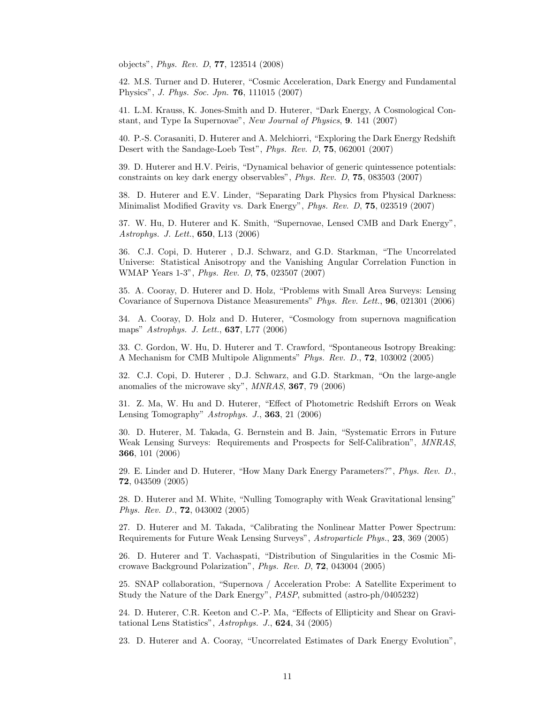objects", Phys. Rev. D, 77, 123514 (2008)

42. M.S. Turner and D. Huterer, "Cosmic Acceleration, Dark Energy and Fundamental Physics", J. Phys. Soc. Jpn. 76, 111015 (2007)

41. L.M. Krauss, K. Jones-Smith and D. Huterer, "Dark Energy, A Cosmological Constant, and Type Ia Supernovae", New Journal of Physics, 9. 141 (2007)

40. P.-S. Corasaniti, D. Huterer and A. Melchiorri, "Exploring the Dark Energy Redshift Desert with the Sandage-Loeb Test", Phys. Rev. D, 75, 062001 (2007)

39. D. Huterer and H.V. Peiris, "Dynamical behavior of generic quintessence potentials: constraints on key dark energy observables", Phys. Rev. D, 75, 083503 (2007)

38. D. Huterer and E.V. Linder, "Separating Dark Physics from Physical Darkness: Minimalist Modified Gravity vs. Dark Energy", Phys. Rev. D, 75, 023519 (2007)

37. W. Hu, D. Huterer and K. Smith, "Supernovae, Lensed CMB and Dark Energy", Astrophys. J. Lett., 650, L13 (2006)

36. C.J. Copi, D. Huterer , D.J. Schwarz, and G.D. Starkman, "The Uncorrelated Universe: Statistical Anisotropy and the Vanishing Angular Correlation Function in WMAP Years 1-3", Phys. Rev. D, 75, 023507 (2007)

35. A. Cooray, D. Huterer and D. Holz, "Problems with Small Area Surveys: Lensing Covariance of Supernova Distance Measurements" Phys. Rev. Lett., 96, 021301 (2006)

34. A. Cooray, D. Holz and D. Huterer, "Cosmology from supernova magnification maps" Astrophys. J. Lett., 637, L77 (2006)

33. C. Gordon, W. Hu, D. Huterer and T. Crawford, "Spontaneous Isotropy Breaking: A Mechanism for CMB Multipole Alignments" Phys. Rev. D., 72, 103002 (2005)

32. C.J. Copi, D. Huterer , D.J. Schwarz, and G.D. Starkman, "On the large-angle anomalies of the microwave sky", MNRAS, 367, 79 (2006)

31. Z. Ma, W. Hu and D. Huterer, "Effect of Photometric Redshift Errors on Weak Lensing Tomography" Astrophys. J., 363, 21 (2006)

30. D. Huterer, M. Takada, G. Bernstein and B. Jain, "Systematic Errors in Future Weak Lensing Surveys: Requirements and Prospects for Self-Calibration", MNRAS, 366, 101 (2006)

29. E. Linder and D. Huterer, "How Many Dark Energy Parameters?", Phys. Rev. D., 72, 043509 (2005)

28. D. Huterer and M. White, "Nulling Tomography with Weak Gravitational lensing" Phys. Rev. D., 72, 043002 (2005)

27. D. Huterer and M. Takada, "Calibrating the Nonlinear Matter Power Spectrum: Requirements for Future Weak Lensing Surveys", Astroparticle Phys., 23, 369 (2005)

26. D. Huterer and T. Vachaspati, "Distribution of Singularities in the Cosmic Microwave Background Polarization", Phys. Rev. D, 72, 043004 (2005)

25. SNAP collaboration, "Supernova / Acceleration Probe: A Satellite Experiment to Study the Nature of the Dark Energy", PASP, submitted (astro-ph/0405232)

24. D. Huterer, C.R. Keeton and C.-P. Ma, "Effects of Ellipticity and Shear on Gravitational Lens Statistics", Astrophys. J., 624, 34 (2005)

23. D. Huterer and A. Cooray, "Uncorrelated Estimates of Dark Energy Evolution",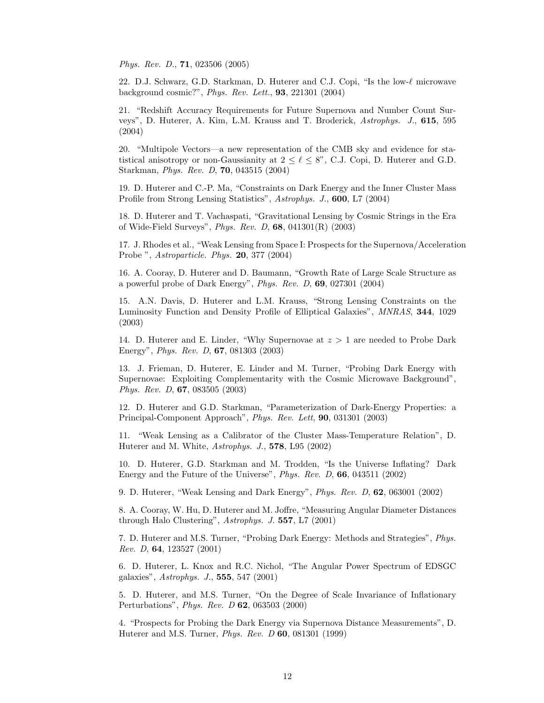Phys. Rev. D., 71, 023506 (2005)

22. D.J. Schwarz, G.D. Starkman, D. Huterer and C.J. Copi, "Is the low- $\ell$  microwave background cosmic?", Phys. Rev. Lett., 93, 221301 (2004)

21. "Redshift Accuracy Requirements for Future Supernova and Number Count Surveys", D. Huterer, A. Kim, L.M. Krauss and T. Broderick, Astrophys. J., 615, 595 (2004)

20. "Multipole Vectors—a new representation of the CMB sky and evidence for statistical anisotropy or non-Gaussianity at  $2 \leq \ell \leq 8$ ", C.J. Copi, D. Huterer and G.D. Starkman, Phys. Rev. D, 70, 043515 (2004)

19. D. Huterer and C.-P. Ma, "Constraints on Dark Energy and the Inner Cluster Mass Profile from Strong Lensing Statistics", Astrophys. J., 600, L7 (2004)

18. D. Huterer and T. Vachaspati, "Gravitational Lensing by Cosmic Strings in the Era of Wide-Field Surveys", Phys. Rev. D, 68, 041301(R) (2003)

17. J. Rhodes et al., "Weak Lensing from Space I: Prospects for the Supernova/Acceleration Probe ", Astroparticle. Phys. 20, 377 (2004)

16. A. Cooray, D. Huterer and D. Baumann, "Growth Rate of Large Scale Structure as a powerful probe of Dark Energy", Phys. Rev. D, 69, 027301 (2004)

15. A.N. Davis, D. Huterer and L.M. Krauss, "Strong Lensing Constraints on the Luminosity Function and Density Profile of Elliptical Galaxies", MNRAS, 344, 1029 (2003)

14. D. Huterer and E. Linder, "Why Supernovae at  $z > 1$  are needed to Probe Dark Energy", Phys. Rev. D, 67, 081303 (2003)

13. J. Frieman, D. Huterer, E. Linder and M. Turner, "Probing Dark Energy with Supernovae: Exploiting Complementarity with the Cosmic Microwave Background", Phys. Rev. D, 67, 083505 (2003)

12. D. Huterer and G.D. Starkman, "Parameterization of Dark-Energy Properties: a Principal-Component Approach", Phys. Rev. Lett, 90, 031301 (2003)

11. "Weak Lensing as a Calibrator of the Cluster Mass-Temperature Relation", D. Huterer and M. White, Astrophys. J., 578, L95 (2002)

10. D. Huterer, G.D. Starkman and M. Trodden, "Is the Universe Inflating? Dark Energy and the Future of the Universe", Phys. Rev. D, 66, 043511 (2002)

9. D. Huterer, "Weak Lensing and Dark Energy", Phys. Rev. D, 62, 063001 (2002)

8. A. Cooray, W. Hu, D. Huterer and M. Joffre, "Measuring Angular Diameter Distances through Halo Clustering", Astrophys. J. 557, L7 (2001)

7. D. Huterer and M.S. Turner, "Probing Dark Energy: Methods and Strategies", Phys. Rev. D, 64, 123527 (2001)

6. D. Huterer, L. Knox and R.C. Nichol, "The Angular Power Spectrum of EDSGC galaxies", Astrophys. J., 555, 547 (2001)

5. D. Huterer, and M.S. Turner, "On the Degree of Scale Invariance of Inflationary Perturbations", Phys. Rev. D 62, 063503 (2000)

4. "Prospects for Probing the Dark Energy via Supernova Distance Measurements", D. Huterer and M.S. Turner, Phys. Rev. D 60, 081301 (1999)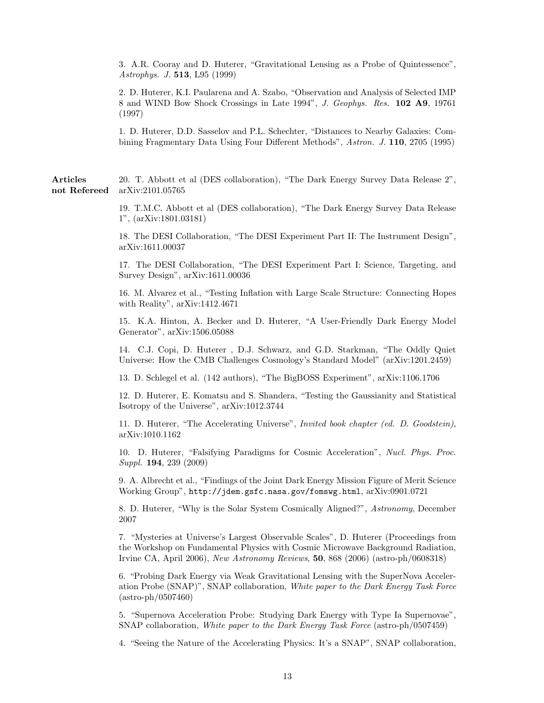3. A.R. Cooray and D. Huterer, "Gravitational Lensing as a Probe of Quintessence", Astrophys. J. 513, L95 (1999)

2. D. Huterer, K.I. Paularena and A. Szabo, "Observation and Analysis of Selected IMP 8 and WIND Bow Shock Crossings in Late 1994", J. Geophys. Res. 102 A9, 19761 (1997)

1. D. Huterer, D.D. Sasselov and P.L. Schechter, "Distances to Nearby Galaxies: Combining Fragmentary Data Using Four Different Methods", Astron. J. 110, 2705 (1995)

Articles 20. T. Abbott et al (DES collaboration), "The Dark Energy Survey Data Release 2", not Refereed arXiv:2101.05765

> 19. T.M.C. Abbott et al (DES collaboration), "The Dark Energy Survey Data Release 1", (arXiv:1801.03181)

> 18. The DESI Collaboration, "The DESI Experiment Part II: The Instrument Design", arXiv:1611.00037

> 17. The DESI Collaboration, "The DESI Experiment Part I: Science, Targeting, and Survey Design", arXiv:1611.00036

> 16. M. Alvarez et al., "Testing Inflation with Large Scale Structure: Connecting Hopes with Reality", arXiv:1412.4671

> 15. K.A. Hinton, A. Becker and D. Huterer, "A User-Friendly Dark Energy Model Generator", arXiv:1506.05088

> 14. C.J. Copi, D. Huterer , D.J. Schwarz, and G.D. Starkman, "The Oddly Quiet Universe: How the CMB Challenges Cosmology's Standard Model" (arXiv:1201.2459)

13. D. Schlegel et al. (142 authors), "The BigBOSS Experiment", arXiv:1106.1706

12. D. Huterer, E. Komatsu and S. Shandera, "Testing the Gaussianity and Statistical Isotropy of the Universe", arXiv:1012.3744

11. D. Huterer, "The Accelerating Universe", Invited book chapter (ed. D. Goodstein), arXiv:1010.1162

10. D. Huterer, "Falsifying Paradigms for Cosmic Acceleration", Nucl. Phys. Proc. Suppl. 194, 239 (2009)

9. A. Albrecht et al., "Findings of the Joint Dark Energy Mission Figure of Merit Science Working Group", http://jdem.gsfc.nasa.gov/fomswg.html, arXiv:0901.0721

8. D. Huterer, "Why is the Solar System Cosmically Aligned?", Astronomy, December 2007

7. "Mysteries at Universe's Largest Observable Scales", D. Huterer (Proceedings from the Workshop on Fundamental Physics with Cosmic Microwave Background Radiation, Irvine CA, April 2006), New Astronomy Reviews, 50, 868 (2006) (astro-ph/0608318)

6. "Probing Dark Energy via Weak Gravitational Lensing with the SuperNova Acceleration Probe (SNAP)", SNAP collaboration, White paper to the Dark Energy Task Force (astro-ph/0507460)

5. "Supernova Acceleration Probe: Studying Dark Energy with Type Ia Supernovae", SNAP collaboration, White paper to the Dark Energy Task Force (astro-ph/0507459)

4. "Seeing the Nature of the Accelerating Physics: It's a SNAP", SNAP collaboration,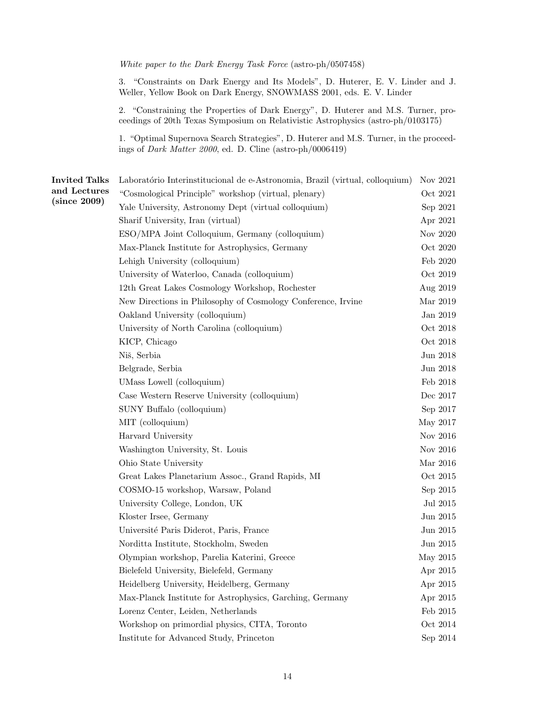White paper to the Dark Energy Task Force (astro-ph/0507458)

3. "Constraints on Dark Energy and Its Models", D. Huterer, E. V. Linder and J. Weller, Yellow Book on Dark Energy, SNOWMASS 2001, eds. E. V. Linder

2. "Constraining the Properties of Dark Energy", D. Huterer and M.S. Turner, proceedings of 20th Texas Symposium on Relativistic Astrophysics (astro-ph/0103175)

1. "Optimal Supernova Search Strategies", D. Huterer and M.S. Turner, in the proceedings of Dark Matter 2000, ed. D. Cline (astro-ph/0006419)

| <b>Invited Talks</b> | Laboratório Interinstitucional de e-Astronomia, Brazil (virtual, colloquium) |                    |
|----------------------|------------------------------------------------------------------------------|--------------------|
| and Lectures         | "Cosmological Principle" workshop (virtual, plenary)                         | Oct 2021           |
| (since 2009)         | Yale University, Astronomy Dept (virtual colloquium)                         | Sep 2021           |
|                      | Sharif University, Iran (virtual)                                            | Apr 2021           |
|                      | ESO/MPA Joint Colloquium, Germany (colloquium)<br>Nov 2020                   |                    |
|                      | Max-Planck Institute for Astrophysics, Germany                               |                    |
|                      | Lehigh University (colloquium)                                               |                    |
|                      | University of Waterloo, Canada (colloquium)                                  | Oct 2019           |
|                      | 12th Great Lakes Cosmology Workshop, Rochester                               | Aug 2019           |
|                      | New Directions in Philosophy of Cosmology Conference, Irvine                 | Mar 2019           |
|                      | Oakland University (colloquium)                                              | Jan 2019           |
|                      | University of North Carolina (colloquium)                                    | Oct 2018           |
|                      | KICP, Chicago                                                                | Oct 2018           |
|                      | Niš, Serbia                                                                  | Jun 2018           |
|                      | Belgrade, Serbia                                                             | $\rm Jun$ $\,2018$ |
|                      | UMass Lowell (colloquium)                                                    | Feb 2018           |
|                      | Case Western Reserve University (colloquium)                                 | Dec 2017           |
|                      | SUNY Buffalo (colloquium)                                                    | Sep 2017           |
|                      | MIT (colloquium)                                                             | May 2017           |
|                      | Harvard University                                                           | Nov 2016           |
|                      | Washington University, St. Louis                                             | Nov 2016           |
|                      | Ohio State University                                                        | Mar 2016           |
|                      | Great Lakes Planetarium Assoc., Grand Rapids, MI                             | Oct 2015           |
|                      | COSMO-15 workshop, Warsaw, Poland                                            | Sep 2015           |
|                      | University College, London, UK                                               | Jul 2015           |
|                      | Kloster Irsee, Germany                                                       | $\rm Jun$ $\,2015$ |
|                      | Université Paris Diderot, Paris, France                                      | Jun 2015           |
|                      | Norditta Institute, Stockholm, Sweden                                        | Jun 2015           |
|                      | Olympian workshop, Parelia Katerini, Greece                                  | May 2015           |
|                      | Bielefeld University, Bielefeld, Germany                                     | Apr 2015           |
|                      | Heidelberg University, Heidelberg, Germany                                   | Apr 2015           |
|                      | Max-Planck Institute for Astrophysics, Garching, Germany                     | Apr 2015           |
|                      | Lorenz Center, Leiden, Netherlands                                           | Feb $2015$         |
|                      | Workshop on primordial physics, CITA, Toronto                                | Oct 2014           |
|                      | Institute for Advanced Study, Princeton                                      | Sep 2014           |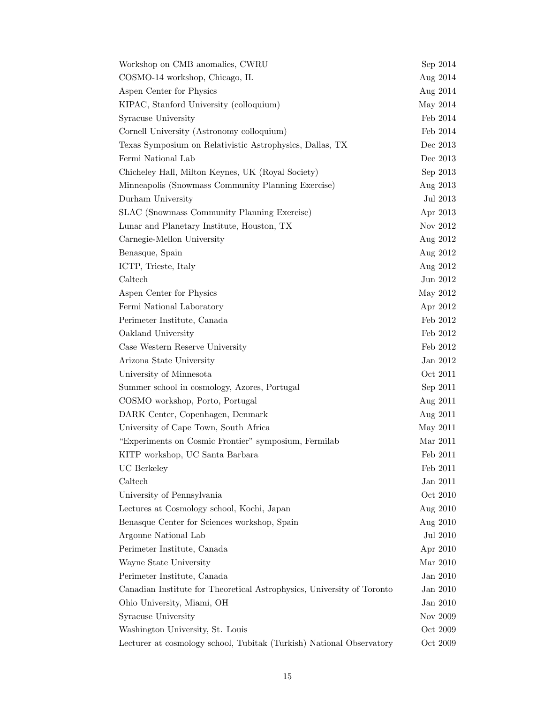| Workshop on CMB anomalies, CWRU                                        | Sep 2014   |
|------------------------------------------------------------------------|------------|
| COSMO-14 workshop, Chicago, IL                                         | Aug $2014$ |
| Aspen Center for Physics                                               | Aug 2014   |
| KIPAC, Stanford University (colloquium)                                | May 2014   |
| Syracuse University                                                    | Feb 2014   |
| Cornell University (Astronomy colloquium)                              | Feb 2014   |
| Texas Symposium on Relativistic Astrophysics, Dallas, TX               | Dec 2013   |
| Fermi National Lab                                                     | Dec 2013   |
| Chicheley Hall, Milton Keynes, UK (Royal Society)                      | Sep 2013   |
| Minneapolis (Snowmass Community Planning Exercise)                     | Aug 2013   |
| Durham University                                                      | Jul 2013   |
| SLAC (Snowmass Community Planning Exercise)                            | Apr 2013   |
| Lunar and Planetary Institute, Houston, TX                             | Nov 2012   |
| Carnegie-Mellon University                                             | Aug 2012   |
| Benasque, Spain                                                        | Aug 2012   |
| ICTP, Trieste, Italy                                                   | Aug 2012   |
| Caltech                                                                | Jun 2012   |
| Aspen Center for Physics                                               | May 2012   |
| Fermi National Laboratory                                              | Apr 2012   |
| Perimeter Institute, Canada                                            | Feb 2012   |
| Oakland University                                                     | Feb 2012   |
| Case Western Reserve University                                        | Feb 2012   |
| Arizona State University                                               | Jan 2012   |
| University of Minnesota                                                | Oct 2011   |
| Summer school in cosmology, Azores, Portugal                           | Sep 2011   |
| COSMO workshop, Porto, Portugal                                        | Aug 2011   |
| DARK Center, Copenhagen, Denmark                                       | Aug 2011   |
| University of Cape Town, South Africa                                  | May 2011   |
| "Experiments on Cosmic Frontier" symposium, Fermilab                   | Mar 2011   |
| KITP workshop, UC Santa Barbara                                        | Feb 2011   |
| UC Berkeley                                                            | Feb 2011   |
| Caltech                                                                | Jan 2011   |
| University of Pennsylvania                                             | Oct 2010   |
| Lectures at Cosmology school, Kochi, Japan                             | Aug 2010   |
| Benasque Center for Sciences workshop, Spain                           | Aug 2010   |
| Argonne National Lab                                                   | Jul 2010   |
| Perimeter Institute, Canada                                            | Apr 2010   |
| Wayne State University                                                 | Mar 2010   |
| Perimeter Institute, Canada                                            | Jan 2010   |
| Canadian Institute for Theoretical Astrophysics, University of Toronto | Jan 2010   |
| Ohio University, Miami, OH                                             | Jan 2010   |
| Syracuse University                                                    | Nov 2009   |
| Washington University, St. Louis                                       | Oct 2009   |
| Lecturer at cosmology school, Tubitak (Turkish) National Observatory   | Oct 2009   |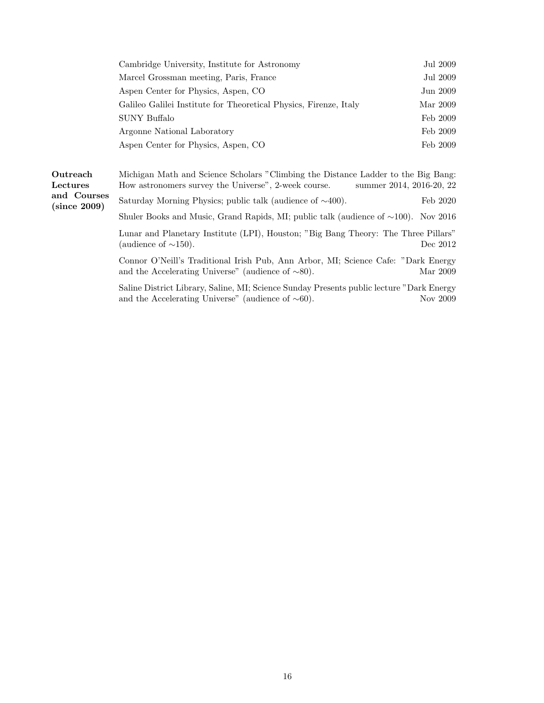| Cambridge University, Institute for Astronomy                     | Jul 2009 |
|-------------------------------------------------------------------|----------|
| Marcel Grossman meeting, Paris, France                            | Jul 2009 |
| Aspen Center for Physics, Aspen, CO                               | Jun 2009 |
| Galileo Galilei Institute for Theoretical Physics, Firenze, Italy | Mar 2009 |
| SUNY Buffalo                                                      | Feb 2009 |
| Argonne National Laboratory                                       | Feb 2009 |
| Aspen Center for Physics, Aspen, CO                               | Feb 2009 |

| Outreach                    | Michigan Math and Science Scholars "Climbing the Distance Ladder to the Big Bang:                                                                         |  |
|-----------------------------|-----------------------------------------------------------------------------------------------------------------------------------------------------------|--|
| Lectures                    | How astronomers survey the Universe", 2-week course.<br>summer 2014, 2016-20, 22                                                                          |  |
| and Courses<br>(since 2009) | Saturday Morning Physics; public talk (audience of $\sim$ 400).<br>Feb 2020                                                                               |  |
|                             | Shuler Books and Music, Grand Rapids, MI; public talk (audience of $\sim$ 100). Nov 2016                                                                  |  |
|                             | Lunar and Planetary Institute (LPI), Houston; "Big Bang Theory: The Three Pillars"<br>(audience of $\sim$ 150).<br>Dec 2012                               |  |
|                             | Connor O'Neill's Traditional Irish Pub, Ann Arbor, MI; Science Cafe: "Dark Energy<br>and the Accelerating Universe" (audience of $\sim 80$ ).<br>Mar 2009 |  |

Saline District Library, Saline, MI; Science Sunday Presents public lecture "Dark Energy and the Accelerating Universe" (audience of  $~\sim 60$ ). Nov 2009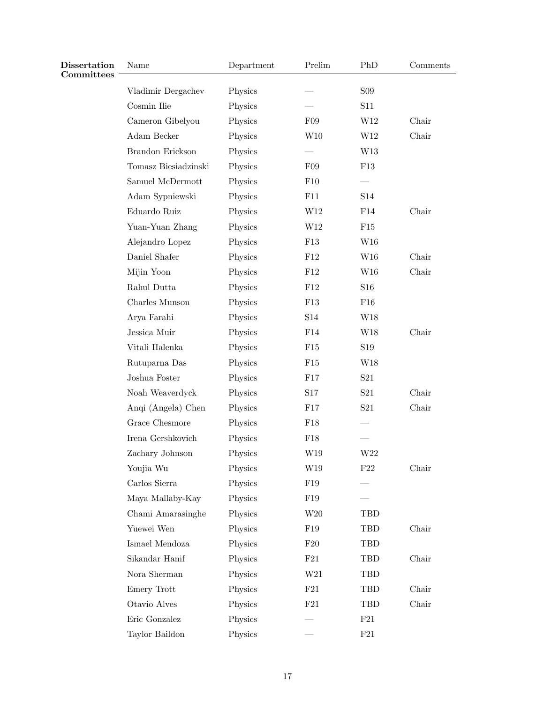| Dissertation<br>Committees | Name                            | Department | Prelim          | PhD             | Comments |
|----------------------------|---------------------------------|------------|-----------------|-----------------|----------|
|                            | Vladimir Dergachev              | Physics    |                 | <b>S09</b>      |          |
|                            | Cosmin Ilie                     | Physics    |                 | S11             |          |
|                            | Cameron Gibelyou                | Physics    | F09             | W12             | Chair    |
|                            | Adam Becker                     | Physics    | W10             | W12             | Chair    |
|                            | Brandon Erickson                | Physics    |                 | W13             |          |
|                            | Tomasz Biesiadzinski            | Physics    | F09             | F13             |          |
|                            | Samuel McDermott                | Physics    | F10             |                 |          |
|                            | Adam Sypniewski                 | Physics    | F11             | S14             |          |
|                            | Eduardo Ruiz                    | Physics    | W12             | F14             | Chair    |
|                            | Yuan-Yuan Zhang                 | Physics    | W12             | F15             |          |
|                            | Alejandro Lopez                 | Physics    | F13             | W16             |          |
|                            | Daniel Shafer                   | Physics    | F12             | W16             | Chair    |
|                            | Mijin Yoon                      | Physics    | F12             | W16             | Chair    |
|                            | Rahul Dutta                     | Physics    | F12             | S <sub>16</sub> |          |
|                            | Charles Munson                  | Physics    | F13             | F16             |          |
|                            | Arya Farahi                     | Physics    | S14             | W18             |          |
|                            | Jessica Muir                    | Physics    | F14             | W18             | Chair    |
|                            | Vitali Halenka                  | Physics    | F15             | S <sub>19</sub> |          |
|                            | Rutuparna $\mathrm{Das}\xspace$ | Physics    | F15             | W18             |          |
|                            | Joshua Foster                   | Physics    | F17             | S <sub>21</sub> |          |
|                            | Noah Weaverdyck                 | Physics    | S17             | S <sub>21</sub> | Chair    |
|                            | Anqi (Angela) Chen              | Physics    | F17             | S <sub>21</sub> | Chair    |
|                            | Grace Chesmore                  | Physics    | F18             |                 |          |
|                            | Irena Gershkovich               | Physics    | F18             |                 |          |
|                            | Zachary Johnson                 | Physics    | W19             | W22             |          |
|                            | Youjia Wu                       | Physics    | W19             | $\rm F22$       | Chair    |
|                            | Carlos Sierra                   | Physics    | ${\rm F}19$     |                 |          |
|                            | Maya Mallaby-Kay                | Physics    | F19             |                 |          |
|                            | Chami Amarasinghe               | Physics    | W20             | TBD             |          |
|                            | Yuewei Wen                      | Physics    | F <sub>19</sub> | TBD             | Chair    |
|                            | Ismael Mendoza                  | Physics    | F20             | TBD             |          |
|                            | Sikandar Hanif                  | Physics    | F21             | TBD             | Chair    |
|                            | Nora Sherman                    | Physics    | W21             | TBD             |          |
|                            | Emery Trott                     | Physics    | F21             | TBD             | Chair    |
|                            | Otavio Alves                    | Physics    | $\rm F21$       | TBD             | Chair    |
|                            | Eric Gonzalez                   | Physics    |                 | F21             |          |
|                            | Taylor Baildon                  | Physics    |                 | $\rm F21$       |          |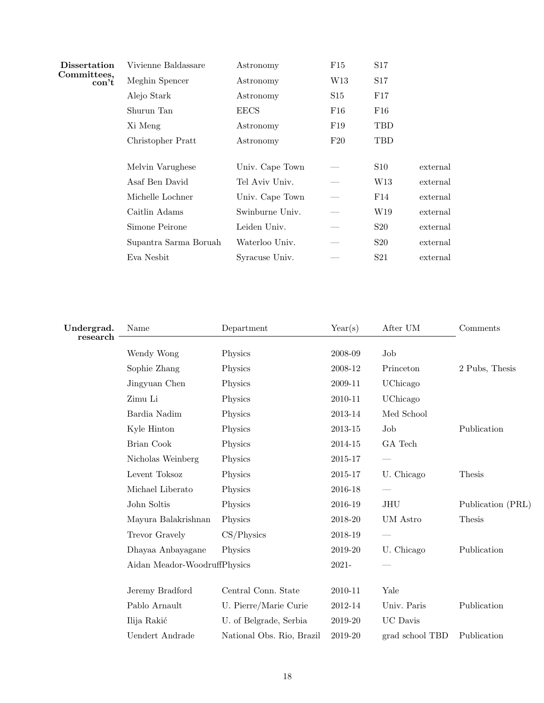| <b>Dissertation</b>                                     | Vivienne Baldassare   | Astronomy       | F15 | S17             |          |
|---------------------------------------------------------|-----------------------|-----------------|-----|-----------------|----------|
| Committees,<br>$\text{con}^{\scriptscriptstyle{\star}}$ | Meghin Spencer        | Astronomy       | W13 | S17             |          |
|                                                         | Alejo Stark           | Astronomy       | S15 | F17             |          |
|                                                         | Shurun Tan            | <b>EECS</b>     | F16 | ${\rm F}16$     |          |
|                                                         | Xi Meng               | Astronomy       | F19 | TBD             |          |
|                                                         | Christopher Pratt     | Astronomy       | F20 | TBD             |          |
|                                                         |                       |                 |     |                 |          |
|                                                         | Melvin Varughese      | Univ. Cape Town |     | S10             | external |
|                                                         | Asaf Ben David        | Tel Aviv Univ.  |     | W13             | external |
|                                                         | Michelle Lochner      | Univ. Cape Town |     | F14             | external |
|                                                         | Caitlin Adams         | Swinburne Univ. |     | W19             | external |
|                                                         | Simone Peirone        | Leiden Univ.    |     | S20             | external |
|                                                         | Supantra Sarma Boruah | Waterloo Univ.  |     | S <sub>20</sub> | external |
|                                                         | Eva Nesbit            | Syracuse Univ.  |     | S <sub>21</sub> | external |

| Undergrad.<br>research | Name                         | Department                | Year(s) | After UM        | Comments          |
|------------------------|------------------------------|---------------------------|---------|-----------------|-------------------|
|                        | Wendy Wong                   | Physics                   | 2008-09 | Job             |                   |
|                        | Sophie Zhang                 | Physics                   | 2008-12 | Princeton       | 2 Pubs, Thesis    |
|                        | Jingyuan Chen                | Physics                   | 2009-11 | UChicago        |                   |
|                        | Zimu Li                      | Physics                   | 2010-11 | UChicago        |                   |
|                        | Bardia Nadim                 | Physics                   | 2013-14 | Med School      |                   |
|                        | Kyle Hinton                  | Physics                   | 2013-15 | Job             | Publication       |
|                        | Brian Cook                   | Physics                   | 2014-15 | GA Tech         |                   |
|                        | Nicholas Weinberg            | Physics                   | 2015-17 |                 |                   |
|                        | Levent Toksoz                | Physics                   | 2015-17 | U. Chicago      | Thesis            |
|                        | Michael Liberato             | Physics                   | 2016-18 |                 |                   |
|                        | John Soltis                  | Physics                   | 2016-19 | JHU             | Publication (PRL) |
|                        | Mayura Balakrishnan          | Physics                   | 2018-20 | UM Astro        | Thesis            |
|                        | Trevor Gravely               | $CS/P$ hysics             | 2018-19 |                 |                   |
|                        | Dhayaa Anbayagane            | Physics                   | 2019-20 | U. Chicago      | Publication       |
|                        | Aidan Meador-WoodruffPhysics |                           | 2021-   |                 |                   |
|                        | Jeremy Bradford              | Central Conn. State       | 2010-11 | Yale            |                   |
|                        | Pablo Arnault                | U. Pierre/Marie Curie     | 2012-14 | Univ. Paris     | Publication       |
|                        | Ilija Rakić                  | U. of Belgrade, Serbia    | 2019-20 | <b>UC</b> Davis |                   |
|                        | <b>Uendert Andrade</b>       | National Obs. Rio, Brazil | 2019-20 | grad school TBD | Publication       |